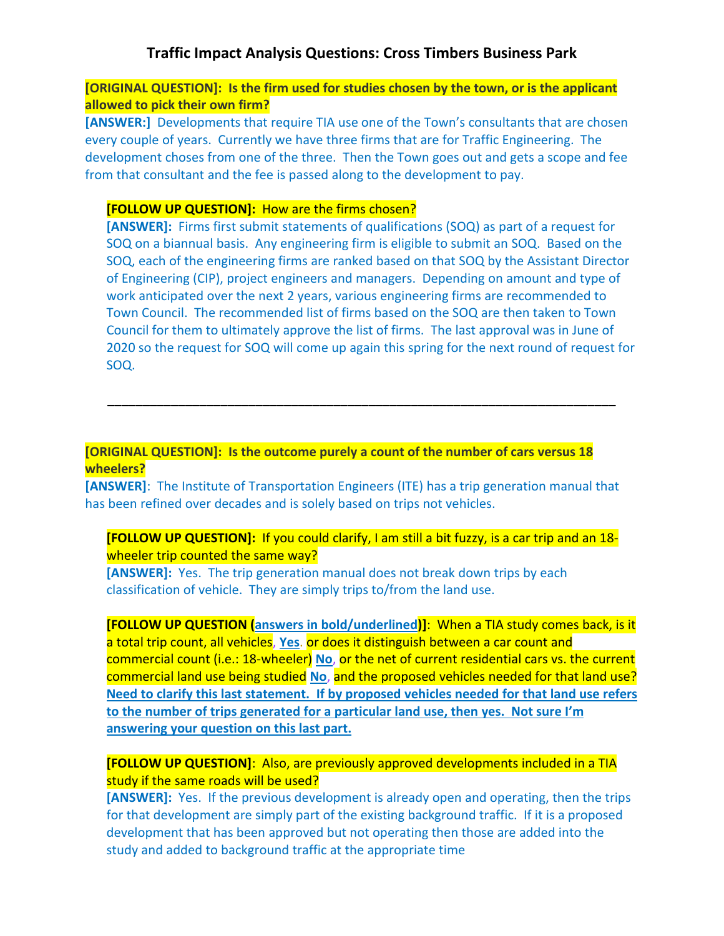# **Traffic Impact Analysis Questions: Cross Timbers Business Park**

**[ORIGINAL QUESTION]: Is the firm used for studies chosen by the town, or is the applicant allowed to pick their own firm?**

**[ANSWER:]** Developments that require TIA use one of the Town's consultants that are chosen every couple of years. Currently we have three firms that are for Traffic Engineering. The development choses from one of the three. Then the Town goes out and gets a scope and fee from that consultant and the fee is passed along to the development to pay.

#### **[FOLLOW UP QUESTION]:** How are the firms chosen?

**[ANSWER]:** Firms first submit statements of qualifications (SOQ) as part of a request for SOQ on a biannual basis. Any engineering firm is eligible to submit an SOQ. Based on the SOQ, each of the engineering firms are ranked based on that SOQ by the Assistant Director of Engineering (CIP), project engineers and managers. Depending on amount and type of work anticipated over the next 2 years, various engineering firms are recommended to Town Council. The recommended list of firms based on the SOQ are then taken to Town Council for them to ultimately approve the list of firms. The last approval was in June of 2020 so the request for SOQ will come up again this spring for the next round of request for SOQ.

### **[ORIGINAL QUESTION]: Is the outcome purely a count of the number of cars versus 18 wheelers?**

**[ANSWER]**: The Institute of Transportation Engineers (ITE) has a trip generation manual that has been refined over decades and is solely based on trips not vehicles.

**\_\_\_\_\_\_\_\_\_\_\_\_\_\_\_\_\_\_\_\_\_\_\_\_\_\_\_\_\_\_\_\_\_\_\_\_\_\_\_\_\_\_\_\_\_\_\_\_\_\_\_\_\_\_\_\_\_\_\_\_\_\_\_\_\_\_\_\_\_\_\_\_**

### **[FOLLOW UP QUESTION]:** If you could clarify, I am still a bit fuzzy, is a car trip and an 18 wheeler trip counted the same way?

**[ANSWER]:** Yes. The trip generation manual does not break down trips by each classification of vehicle. They are simply trips to/from the land use.

**[FOLLOW UP QUESTION (answers in bold/underlined)]**: When a TIA study comes back, is it a total trip count, all vehicles, **Yes**. or does it distinguish between a car count and commercial count (i.e.: 18-wheeler) **No**, or the net of current residential cars vs. the current commercial land use being studied **No**, and the proposed vehicles needed for that land use? **Need to clarify this last statement. If by proposed vehicles needed for that land use refers to the number of trips generated for a particular land use, then yes. Not sure I'm answering your question on this last part.**

### **[FOLLOW UP QUESTION]**: Also, are previously approved developments included in a TIA study if the same roads will be used?

**[ANSWER]:** Yes. If the previous development is already open and operating, then the trips for that development are simply part of the existing background traffic. If it is a proposed development that has been approved but not operating then those are added into the study and added to background traffic at the appropriate time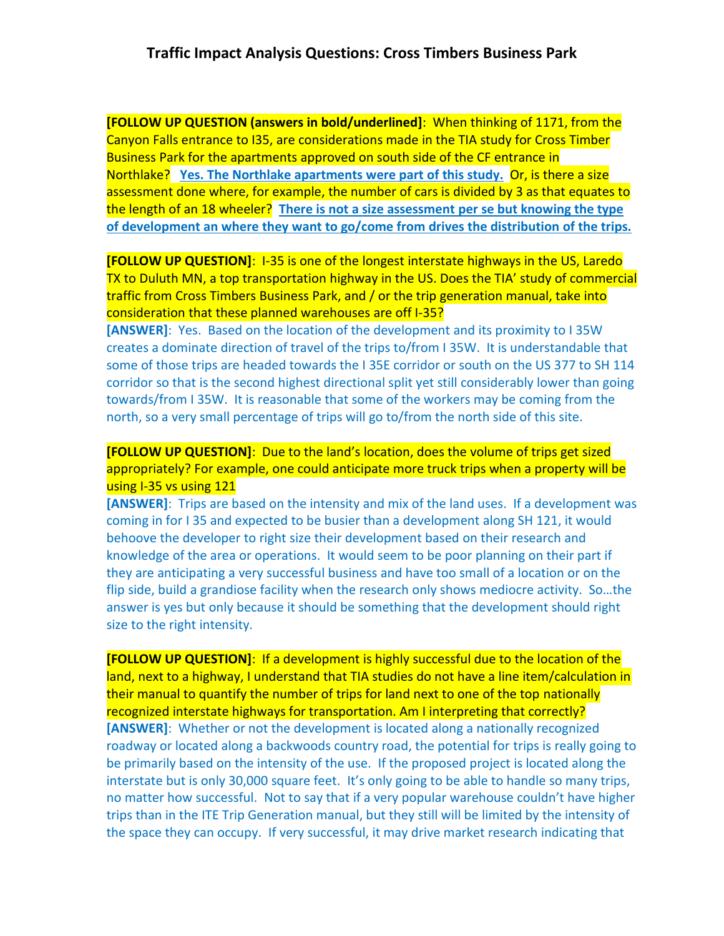**[FOLLOW UP QUESTION (answers in bold/underlined]**: When thinking of 1171, from the Canyon Falls entrance to I35, are considerations made in the TIA study for Cross Timber Business Park for the apartments approved on south side of the CF entrance in Northlake? **Yes. The Northlake apartments were part of this study.** Or, is there a size assessment done where, for example, the number of cars is divided by 3 as that equates to the length of an 18 wheeler? **There is not a size assessment per se but knowing the type of development an where they want to go/come from drives the distribution of the trips.**

**[FOLLOW UP QUESTION]**: I-35 is one of the longest interstate highways in the US, Laredo TX to Duluth MN, a top transportation highway in the US. Does the TIA' study of commercial traffic from Cross Timbers Business Park, and / or the trip generation manual, take into consideration that these planned warehouses are off I-35?

**[ANSWER]**: Yes. Based on the location of the development and its proximity to I 35W creates a dominate direction of travel of the trips to/from I 35W. It is understandable that some of those trips are headed towards the I 35E corridor or south on the US 377 to SH 114 corridor so that is the second highest directional split yet still considerably lower than going towards/from I 35W. It is reasonable that some of the workers may be coming from the north, so a very small percentage of trips will go to/from the north side of this site.

**[FOLLOW UP QUESTION]**: Due to the land's location, does the volume of trips get sized appropriately? For example, one could anticipate more truck trips when a property will be using I-35 vs using 121

**[ANSWER]**: Trips are based on the intensity and mix of the land uses. If a development was coming in for I 35 and expected to be busier than a development along SH 121, it would behoove the developer to right size their development based on their research and knowledge of the area or operations. It would seem to be poor planning on their part if they are anticipating a very successful business and have too small of a location or on the flip side, build a grandiose facility when the research only shows mediocre activity. So…the answer is yes but only because it should be something that the development should right size to the right intensity.

**[FOLLOW UP QUESTION]**: If a development is highly successful due to the location of the land, next to a highway, I understand that TIA studies do not have a line item/calculation in their manual to quantify the number of trips for land next to one of the top nationally recognized interstate highways for transportation. Am I interpreting that correctly? **[ANSWER]**: Whether or not the development is located along a nationally recognized roadway or located along a backwoods country road, the potential for trips is really going to be primarily based on the intensity of the use. If the proposed project is located along the interstate but is only 30,000 square feet. It's only going to be able to handle so many trips, no matter how successful. Not to say that if a very popular warehouse couldn't have higher trips than in the ITE Trip Generation manual, but they still will be limited by the intensity of the space they can occupy. If very successful, it may drive market research indicating that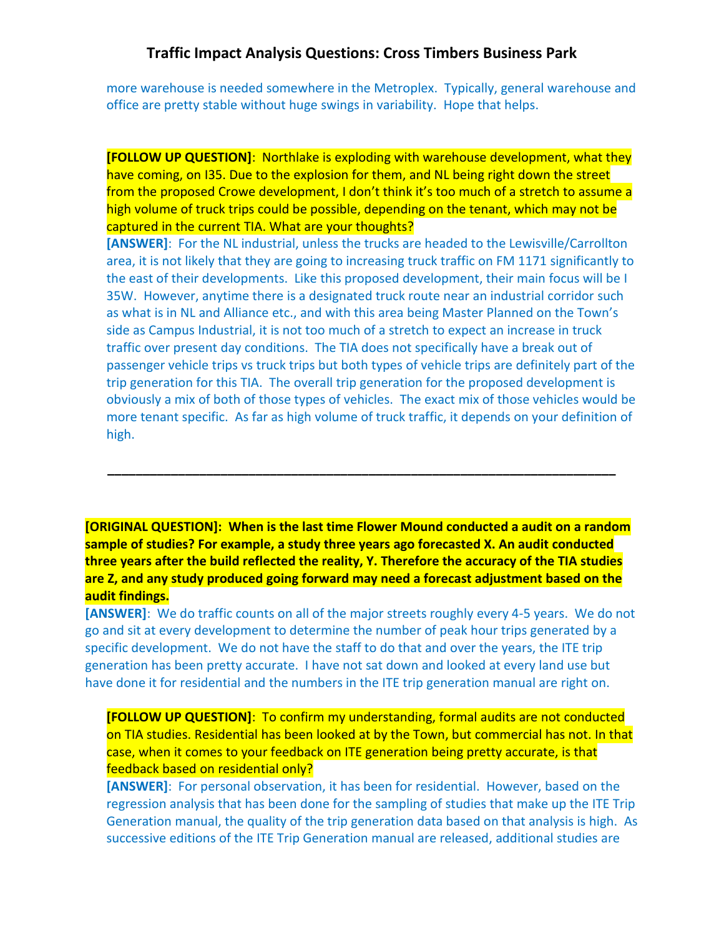# **Traffic Impact Analysis Questions: Cross Timbers Business Park**

more warehouse is needed somewhere in the Metroplex. Typically, general warehouse and office are pretty stable without huge swings in variability. Hope that helps.

**[FOLLOW UP QUESTION]**: Northlake is exploding with warehouse development, what they have coming, on I35. Due to the explosion for them, and NL being right down the street from the proposed Crowe development, I don't think it's too much of a stretch to assume a high volume of truck trips could be possible, depending on the tenant, which may not be captured in the current TIA. What are your thoughts?

**[ANSWER]**: For the NL industrial, unless the trucks are headed to the Lewisville/Carrollton area, it is not likely that they are going to increasing truck traffic on FM 1171 significantly to the east of their developments. Like this proposed development, their main focus will be I 35W. However, anytime there is a designated truck route near an industrial corridor such as what is in NL and Alliance etc., and with this area being Master Planned on the Town's side as Campus Industrial, it is not too much of a stretch to expect an increase in truck traffic over present day conditions. The TIA does not specifically have a break out of passenger vehicle trips vs truck trips but both types of vehicle trips are definitely part of the trip generation for this TIA. The overall trip generation for the proposed development is obviously a mix of both of those types of vehicles. The exact mix of those vehicles would be more tenant specific. As far as high volume of truck traffic, it depends on your definition of high.

**[ORIGINAL QUESTION]: When is the last time Flower Mound conducted a audit on a random sample of studies? For example, a study three years ago forecasted X. An audit conducted three years after the build reflected the reality, Y. Therefore the accuracy of the TIA studies are Z, and any study produced going forward may need a forecast adjustment based on the audit findings.**

**\_\_\_\_\_\_\_\_\_\_\_\_\_\_\_\_\_\_\_\_\_\_\_\_\_\_\_\_\_\_\_\_\_\_\_\_\_\_\_\_\_\_\_\_\_\_\_\_\_\_\_\_\_\_\_\_\_\_\_\_\_\_\_\_\_\_\_\_\_\_\_\_**

**[ANSWER]**: We do traffic counts on all of the major streets roughly every 4-5 years. We do not go and sit at every development to determine the number of peak hour trips generated by a specific development. We do not have the staff to do that and over the years, the ITE trip generation has been pretty accurate. I have not sat down and looked at every land use but have done it for residential and the numbers in the ITE trip generation manual are right on.

**[FOLLOW UP QUESTION]**: To confirm my understanding, formal audits are not conducted on TIA studies. Residential has been looked at by the Town, but commercial has not. In that case, when it comes to your feedback on ITE generation being pretty accurate, is that feedback based on residential only?

**[ANSWER]**: For personal observation, it has been for residential. However, based on the regression analysis that has been done for the sampling of studies that make up the ITE Trip Generation manual, the quality of the trip generation data based on that analysis is high. As successive editions of the ITE Trip Generation manual are released, additional studies are